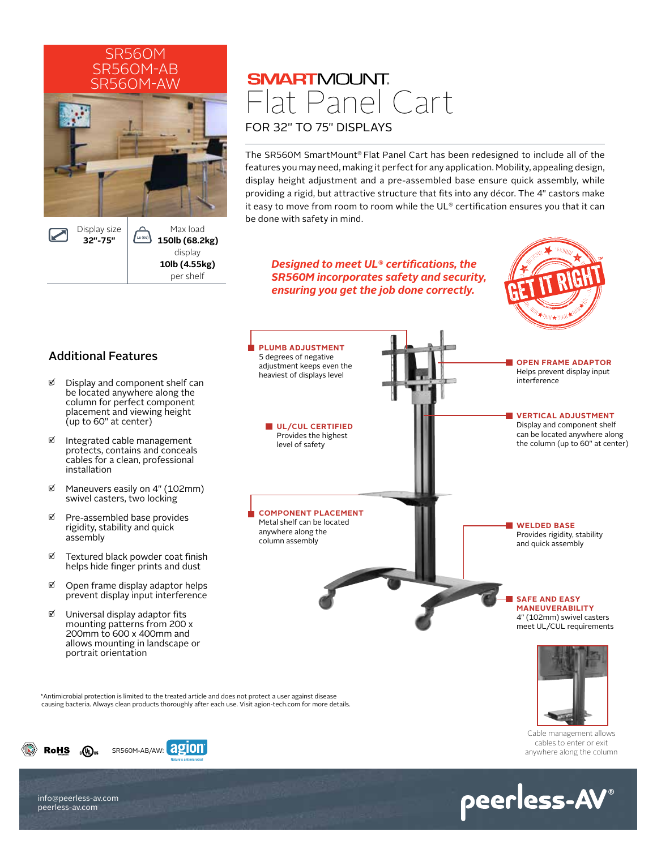#### SR560M SR560M-AB SR560M-AW



per shelf

**SMARTMOUNT.** Flat Panel Cart FOR 32" TO 75" DISPLAYS

The SR560M SmartMount® Flat Panel Cart has been redesigned to include all of the features you may need, making it perfect for any application. Mobility, appealing design, display height adjustment and a pre-assembled base ensure quick assembly, while providing a rigid, but attractive structure that fits into any décor. The 4" castors make it easy to move from room to room while the UL® certification ensures you that it can be done with safety in mind.





Cable management allows cables to enter or exit anywhere along the column

peerless-AV®

Additional Features

- $\%$  Display and component shelf can be located anywhere along the column for perfect component placement and viewing height (up to 60" at center)
- $\mathfrak{A}$  Integrated cable management protects, contains and conceals cables for a clean, professional installation
- Maneuvers easily on 4" (102mm) swivel casters, two locking
- **Ø** Pre-assembled base provides rigidity, stability and quick assembly
- $\%$  Textured black powder coat finish helps hide finger prints and dust
- $\mathcal{D}$  Open frame display adaptor helps prevent display input interference
- $\mathfrak{A}$  Universal display adaptor fits mounting patterns from 200 x 200mm to 600 x 400mm and allows mounting in landscape or portrait orientation

\*Antimicrobial protection is limited to the treated article and does not protect a user against disease causing bacteria. Always clean products thoroughly after each use. Visit agion-tech.com for more details.



info@peerless-av.com peerless-av.com